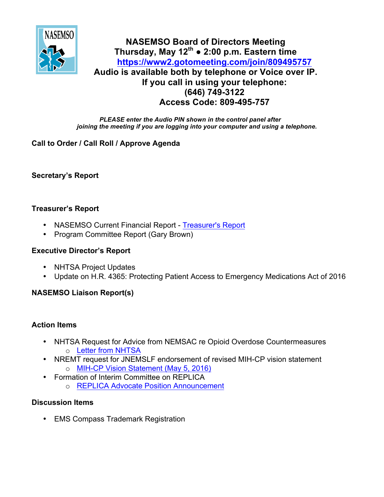

# **NASEMSO Board of Directors Meeting Thursday, May 12th ● 2:00 p.m. Eastern time <https://www2.gotomeeting.com/join/809495757> Audio is available both by telephone or Voice over IP. If you call in using your telephone: (646) 749-3122 Access Code: 809-495-757**

*PLEASE enter the Audio PIN shown in the control panel after joining the meeting if you are logging into your computer and using a telephone.*

# **Call to Order / Call Roll / Approve Agenda**

**Secretary's Report**

### **Treasurer's Report**

- NASEMSO Current Financial Report [Treasurer's Report](https://www.nasemso.org/Members/Board/documents/NASEMSO-SOA-30Apr2016.xlsx)
- Program Committee Report (Gary Brown)

## **Executive Director's Report**

- NHTSA Project Updates
- Update on H.R. 4365: Protecting Patient Access to Emergency Medications Act of 2016

# **NASEMSO Liaison Report(s)**

### **Action Items**

- NHTSA Request for Advice from NEMSAC re Opioid Overdose Countermeasures o [Letter from NHTSA](https://www.nasemso.org/Members/Board/documents/NHTSA.DFO.to.NEMSAC.reNaloxone.in.SOP.corrected.FINAL.041816.pdf)
- NREMT request for JNEMSLF endorsement of revised MIH-CP vision statement o [MIH-CP Vision Statement \(May 5, 2016\)](https://www.nasemso.org/Members/Board/documents/MIH-CP-Vision-Statement-updated-05May2016.pdf)
- Formation of Interim Committee on REPLICA
	- o [REPLICA Advocate Position Announcement](https://www.nasemso.org/Members/Board/documents/REPLICA-Position-Announcement-May2016.pdf)

# **Discussion Items**

• EMS Compass Trademark Registration